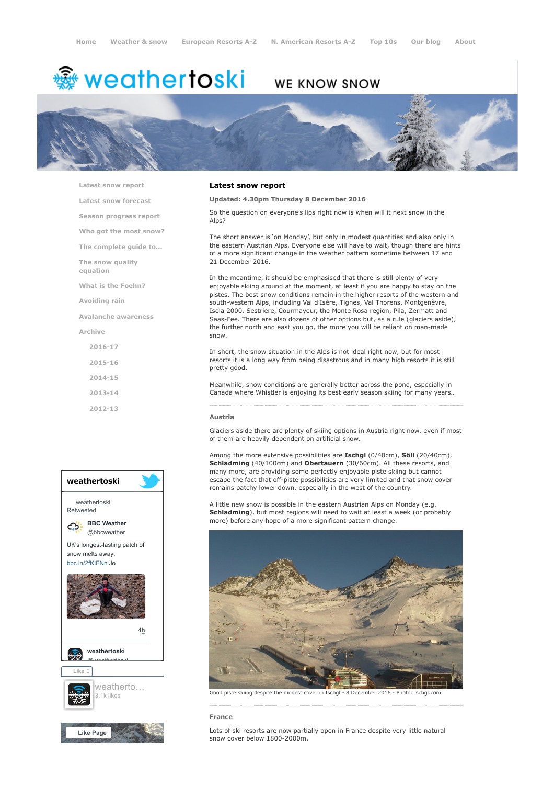# <del>鑾</del> weathertoski

# **WE KNOW SNOW**



[Latest snow report](https://www.weathertoski.co.uk/weather-snow/latest-snow-report/)

[Latest snow forecast](https://www.weathertoski.co.uk/weather-snow/latest-snow-forecast/)

[Season progress report](https://www.weathertoski.co.uk/weather-snow/season-progress-report/)

[Who got the most snow?](https://www.weathertoski.co.uk/weather-snow/who-got-the-most-snow/)

[The complete guide to...](https://www.weathertoski.co.uk/weather-snow/the-complete-guide-to/)

[The snow quality](https://www.weathertoski.co.uk/weather-snow/the-snow-quality-equation/)

[What is the Foehn?](https://www.weathertoski.co.uk/weather-snow/what-is-the-foehn/)

[Avoiding rain](https://www.weathertoski.co.uk/weather-snow/avoiding-rain/)

equation

[Avalanche awareness](https://www.weathertoski.co.uk/weather-snow/avalanche-awareness/)

[Archive](https://www.weathertoski.co.uk/weather-snow/archive/)

- [2016-17](https://www.weathertoski.co.uk/weather-snow/archive/2016-17/) [2015-16](https://www.weathertoski.co.uk/weather-snow/archive/2015-16/) [2014-15](https://www.weathertoski.co.uk/weather-snow/archive/2014-15/)
- [2013-14](https://www.weathertoski.co.uk/weather-snow/archive/2013-14/)

[2012-13](https://www.weathertoski.co.uk/weather-snow/archive/2012-13/)



# Latest snow report

# Updated: 4.30pm Thursday 8 December 2016

So the question on everyone's lips right now is when will it next snow in the Alps?

The short answer is 'on Monday', but only in modest quantities and also only in the eastern Austrian Alps. Everyone else will have to wait, though there are hints of a more significant change in the weather pattern sometime between 17 and 21 December 2016.

In the meantime, it should be emphasised that there is still plenty of very enjoyable skiing around at the moment, at least if you are happy to stay on the pistes. The best snow conditions remain in the higher resorts of the western and south-western Alps, including Val d'Isère, Tignes, Val Thorens, Montgenèvre, Isola 2000, Sestriere, Courmayeur, the Monte Rosa region, Pila, Zermatt and Saas-Fee. There are also dozens of other options but, as a rule (glaciers aside), the further north and east you go, the more you will be reliant on man-made snow.

In short, the snow situation in the Alps is not ideal right now, but for most resorts it is a long way from being disastrous and in many high resorts it is still pretty good.

Meanwhile, snow conditions are generally better across the pond, especially in Canada where Whistler is enjoying its best early season skiing for many years…

#### Austria

Glaciers aside there are plenty of skiing options in Austria right now, even if most of them are heavily dependent on artificial snow.

Among the more extensive possibilities are **Ischgl** (0/40cm), **Söll** (20/40cm), Schladming (40/100cm) and Obertauern (30/60cm). All these resorts, and many more, are providing some perfectly enjoyable piste skiing but cannot escape the fact that off-piste possibilities are very limited and that snow cover remains patchy lower down, especially in the west of the country.

A little new snow is possible in the eastern Austrian Alps on Monday (e.g. Schladming), but most regions will need to wait at least a week (or probably more) before any hope of a more significant pattern change.



Good piste skiing despite the modest cover in Ischgl - 8 December 2016 - Photo:

# France

Lots of ski resorts are now partially open in France despite very little natural snow cover below 1800-2000m.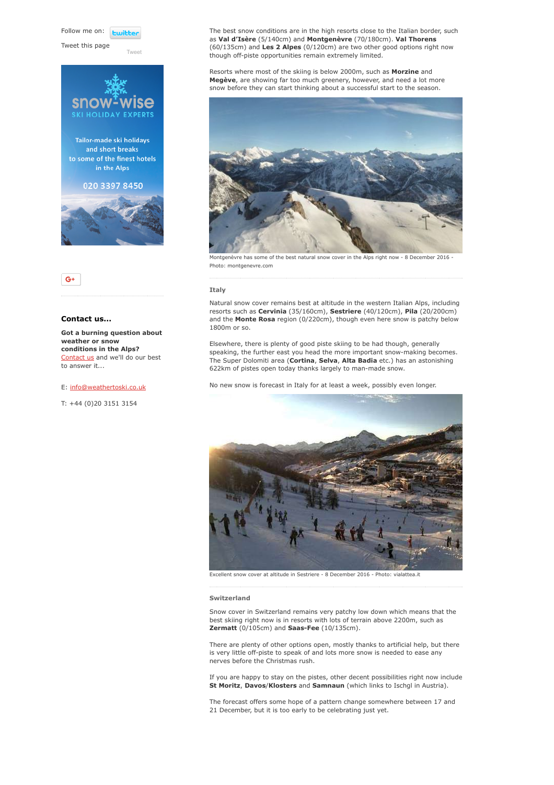Follow me on: **Fujible** 

Tweet this page

[Tweet](https://twitter.com/intent/tweet?original_referer=https%3A%2F%2Fwww.weathertoski.co.uk%2Fweather-snow%2Farchive%2Fsnow-report-08-12-2016%2F&ref_src=twsrc%5Etfw&text=Weather%20to%20ski%20-%20Snow%20report%20-%208%20December%202016&tw_p=tweetbutton&url=https%3A%2F%2Fwww.weathertoski.co.uk%2Fweather-snow%2Farchive%2Fsnow-report-08-12-2016%2F)





# Contact us...

Got a burning question about weather or snow conditions in the Alps? [Contact us](https://www.weathertoski.co.uk/about-1/contact-us/) and we'll do our best to answer it...

### E: [info@weathertoski.co.uk](mailto:fraser@weathertoski.co.uk)

T: +44 (0)20 3151 3154

The best snow conditions are in the high resorts close to the Italian border, such as Val d'Isère (5/140cm) and Montgenèvre (70/180cm). Val Thorens (60/135cm) and Les 2 Alpes (0/120cm) are two other good options right now though off-piste opportunities remain extremely limited.

Resorts where most of the skiing is below 2000m, such as Morzine and Megève, are showing far too much greenery, however, and need a lot more snow before they can start thinking about a successful start to the season.



Montgenèvre has some of the best natural snow cover in the Alps right now - 8 December 2016 -Photo: montgenevre.com

### Italy

Natural snow cover remains best at altitude in the western Italian Alps, including resorts such as Cervinia (35/160cm), Sestriere (40/120cm), Pila (20/200cm) and the Monte Rosa region (0/220cm), though even here snow is patchy below 1800m or so.

Elsewhere, there is plenty of good piste skiing to be had though, generally speaking, the further east you head the more important snow-making becomes. The Super Dolomiti area (Cortina, Selva, Alta Badia etc.) has an astonishing 622km of pistes open today thanks largely to man-made snow.

No new snow is forecast in Italy for at least a week, possibly even longer.



Excellent snow cover at altitude in Sestriere - 8 December 2016 - Photo: vialattea.it

#### Switzerland

Snow cover in Switzerland remains very patchy low down which means that the best skiing right now is in resorts with lots of terrain above 2200m, such as Zermatt (0/105cm) and Saas-Fee (10/135cm).

There are plenty of other options open, mostly thanks to artificial help, but there is very little off-piste to speak of and lots more snow is needed to ease any nerves before the Christmas rush.

If you are happy to stay on the pistes, other decent possibilities right now include St Moritz, Davos/Klosters and Samnaun (which links to Ischgl in Austria).

The forecast offers some hope of a pattern change somewhere between 17 and 21 December, but it is too early to be celebrating just yet.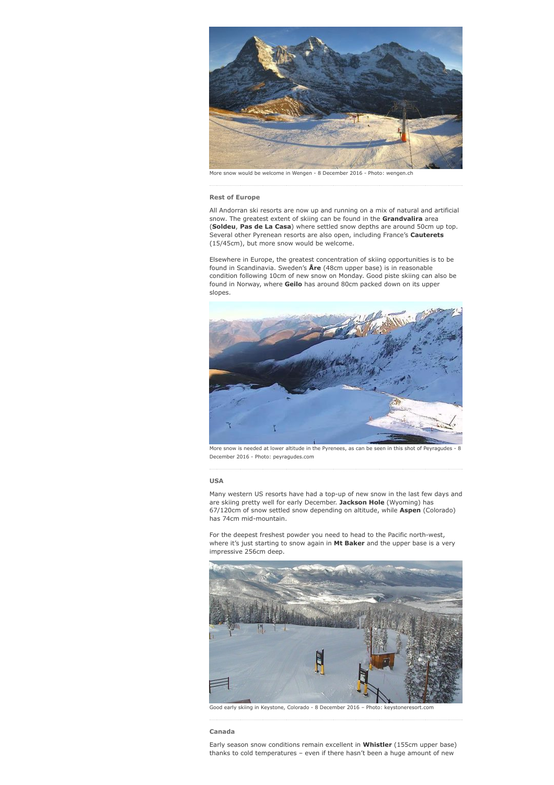

More snow would be welcome in Wengen - 8 December 2016 - Photo: wengen.ch

#### Rest of Europe

All Andorran ski resorts are now up and running on a mix of natural and artificial snow. The greatest extent of skiing can be found in the Grandvalira area (Soldeu, Pas de La Casa) where settled snow depths are around 50cm up top. Several other Pyrenean resorts are also open, including France's Cauterets (15/45cm), but more snow would be welcome.

Elsewhere in Europe, the greatest concentration of skiing opportunities is to be found in Scandinavia. Sweden's *Are* (48cm upper base) is in reasonable condition following 10cm of new snow on Monday. Good piste skiing can also be found in Norway, where Geilo has around 80cm packed down on its upper slopes.



More snow is needed at lower altitude in the Pyrenees, as can be seen in this shot of Peyrague December 2016 - Photo: peyragudes.com

#### USA

Many western US resorts have had a top-up of new snow in the last few days and are skiing pretty well for early December. Jackson Hole (Wyoming) has 67/120cm of snow settled snow depending on altitude, while Aspen (Colorado) has 74cm mid-mountain.

For the deepest freshest powder you need to head to the Pacific north-west, where it's just starting to snow again in Mt Baker and the upper base is a very impressive 256cm deep.



Good early skiing in Keystone, Colorado - 8 December 2016 – Photo: keystoneresort.com

#### Canada

Early season snow conditions remain excellent in Whistler (155cm upper base) thanks to cold temperatures – even if there hasn't been a huge amount of new